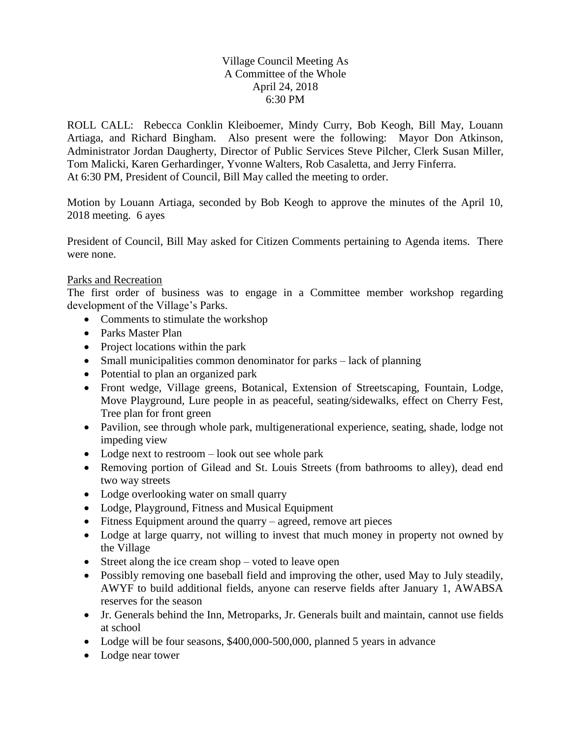## Village Council Meeting As A Committee of the Whole April 24, 2018 6:30 PM

ROLL CALL: Rebecca Conklin Kleiboemer, Mindy Curry, Bob Keogh, Bill May, Louann Artiaga, and Richard Bingham. Also present were the following: Mayor Don Atkinson, Administrator Jordan Daugherty, Director of Public Services Steve Pilcher, Clerk Susan Miller, Tom Malicki, Karen Gerhardinger, Yvonne Walters, Rob Casaletta, and Jerry Finferra. At 6:30 PM, President of Council, Bill May called the meeting to order.

Motion by Louann Artiaga, seconded by Bob Keogh to approve the minutes of the April 10, 2018 meeting. 6 ayes

President of Council, Bill May asked for Citizen Comments pertaining to Agenda items. There were none.

## Parks and Recreation

The first order of business was to engage in a Committee member workshop regarding development of the Village's Parks.

- Comments to stimulate the workshop
- Parks Master Plan
- Project locations within the park
- Small municipalities common denominator for parks lack of planning
- Potential to plan an organized park
- Front wedge, Village greens, Botanical, Extension of Streetscaping, Fountain, Lodge, Move Playground, Lure people in as peaceful, seating/sidewalks, effect on Cherry Fest, Tree plan for front green
- Pavilion, see through whole park, multigenerational experience, seating, shade, lodge not impeding view
- Lodge next to restroom look out see whole park
- Removing portion of Gilead and St. Louis Streets (from bathrooms to alley), dead end two way streets
- Lodge overlooking water on small quarry
- Lodge, Playground, Fitness and Musical Equipment
- $\bullet$  Fitness Equipment around the quarry agreed, remove art pieces
- Lodge at large quarry, not willing to invest that much money in property not owned by the Village
- Street along the ice cream shop voted to leave open
- Possibly removing one baseball field and improving the other, used May to July steadily, AWYF to build additional fields, anyone can reserve fields after January 1, AWABSA reserves for the season
- Jr. Generals behind the Inn, Metroparks, Jr. Generals built and maintain, cannot use fields at school
- Lodge will be four seasons, \$400,000-500,000, planned 5 years in advance
- Lodge near tower